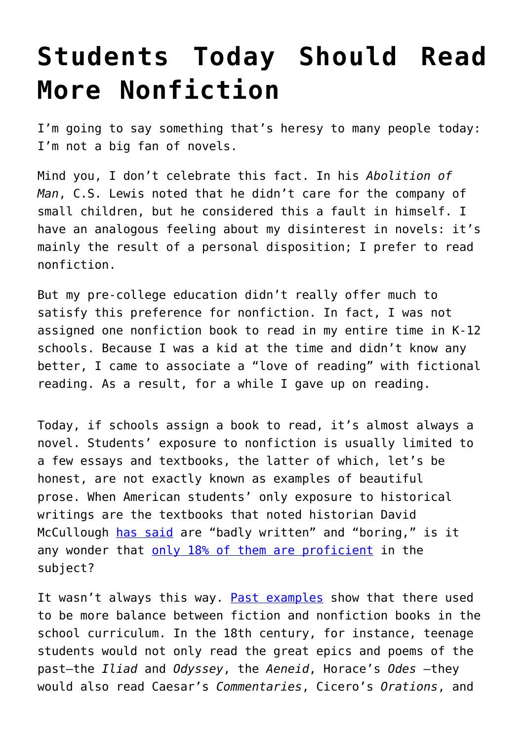## **[Students Today Should Read](https://intellectualtakeout.org/2016/09/students-today-should-read-more-nonfiction/) [More Nonfiction](https://intellectualtakeout.org/2016/09/students-today-should-read-more-nonfiction/)**

I'm going to say something that's heresy to many people today: I'm not a big fan of novels.

Mind you, I don't celebrate this fact. In his *Abolition of Man*, C.S. Lewis noted that he didn't care for the company of small children, but he considered this a fault in himself. I have an analogous feeling about my disinterest in novels: it's mainly the result of a personal disposition; I prefer to read nonfiction.

But my pre-college education didn't really offer much to satisfy this preference for nonfiction. In fact, I was not assigned one nonfiction book to read in my entire time in K-12 schools. Because I was a kid at the time and didn't know any better, I came to associate a "love of reading" with fictional reading. As a result, for a while I gave up on reading.

Today, if schools assign a book to read, it's almost always a novel. Students' exposure to nonfiction is usually limited to a few essays and textbooks, the latter of which, let's be honest, are not exactly known as examples of beautiful prose. When American students' only exposure to historical writings are the textbooks that noted historian David McCullough [has said](https://www.intellectualtakeout.org/blog/david-mccullough-whats-wrong-history-education-today) are "badly written" and "boring," is it any wonder that [only 18% of them are proficient](https://www.intellectualtakeout.org/blog/can-you-pass-century-old-history-exam) in the subject?

It wasn't always this way. [Past examples](https://www.intellectualtakeout.org/blog/what-ivy-league-students-were-studying-250-years-ago) show that there used to be more balance between fiction and nonfiction books in the school curriculum. In the 18th century, for instance, teenage students would not only read the great epics and poems of the past—the *Iliad* and *Odyssey*, the *Aeneid*, Horace's *Odes* —they would also read Caesar's *Commentaries*, Cicero's *Orations*, and